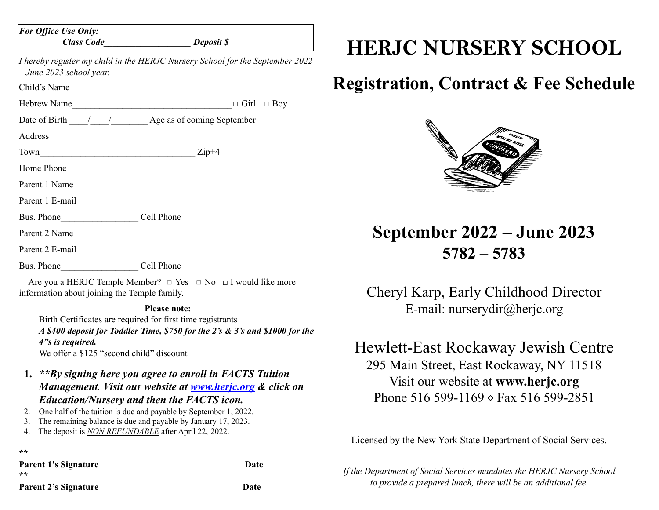| <b>For Office Use Only:</b>                                                                                 | Class Code Deposit \$                                                        |  |  |  |
|-------------------------------------------------------------------------------------------------------------|------------------------------------------------------------------------------|--|--|--|
| I hereby register my child in the HERJC Nursery School for the September 2022<br>$-$ June 2023 school year. |                                                                              |  |  |  |
| Child's Name                                                                                                |                                                                              |  |  |  |
|                                                                                                             | Hebrew Name $\Box$ Girl $\Box$ Boy                                           |  |  |  |
|                                                                                                             |                                                                              |  |  |  |
| Address                                                                                                     |                                                                              |  |  |  |
|                                                                                                             | $Town$ $Zip+4$                                                               |  |  |  |
| Home Phone                                                                                                  |                                                                              |  |  |  |
| Parent 1 Name                                                                                               |                                                                              |  |  |  |
| Parent 1 E-mail                                                                                             |                                                                              |  |  |  |
| Bus. Phone Cell Phone                                                                                       |                                                                              |  |  |  |
| Parent 2 Name                                                                                               |                                                                              |  |  |  |
| Parent 2 E-mail                                                                                             |                                                                              |  |  |  |
|                                                                                                             |                                                                              |  |  |  |
| information about joining the Temple family.                                                                | Are you a HERJC Temple Member? $\Box$ Yes $\Box$ No $\Box$ I would like more |  |  |  |
|                                                                                                             | <b>Please note:</b>                                                          |  |  |  |

Birth Certificates are required for first time registrants *A \$400 deposit for Toddler Time, \$750 for the 2's & 3's and \$1000 for the 4"s is required.* We offer a \$125 "second child" discount

- **1.** *\*\*By signing here you agree to enroll in FACTS Tuition Management. Visit our website at [www.herjc.org](http://www.herjc.org) & click on Education/Nursery and then the FACTS icon.*
- 2. One half of the tuition is due and payable by September 1, 2022.
- 3. The remaining balance is due and payable by January 17, 2023.
- 4. The deposit is *NON REFUNDABLE* after April 22, 2022.

**\*\***

**Parent 1's Signature Date \*\***

**Parent 2's Signature Date**

## **HERJC NURSERY SCHOOL**

## **Registration, Contract & Fee Schedule**



**September 2022 – June 2023 5782 – 5783**

Cheryl Karp, Early Childhood Director E-mail: nurserydir@herjc.org

## Hewlett-East Rockaway Jewish Centre 295 Main Street, East Rockaway, NY 11518 Visit our website at **www.herjc.org** Phone 516 599-1169  $\circ$  Fax 516 599-2851

Licensed by the New York State Department of Social Services.

*If the Department of Social Services mandates the HERJC Nursery School to provide a prepared lunch, there will be an additional fee.*